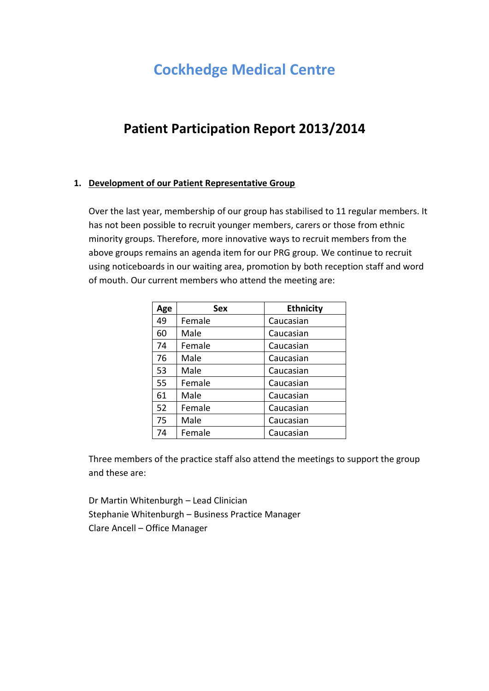# **Cockhedge Medical Centre**

# **Patient Participation Report 2013/2014**

## **1. Development of our Patient Representative Group**

Over the last year, membership of our group has stabilised to 11 regular members. It has not been possible to recruit younger members, carers or those from ethnic minority groups. Therefore, more innovative ways to recruit members from the above groups remains an agenda item for our PRG group. We continue to recruit using noticeboards in our waiting area, promotion by both reception staff and word of mouth. Our current members who attend the meeting are:

| Age | <b>Sex</b> | <b>Ethnicity</b> |
|-----|------------|------------------|
| 49  | Female     | Caucasian        |
| 60  | Male       | Caucasian        |
| 74  | Female     | Caucasian        |
| 76  | Male       | Caucasian        |
| 53  | Male       | Caucasian        |
| 55  | Female     | Caucasian        |
| 61  | Male       | Caucasian        |
| 52  | Female     | Caucasian        |
| 75  | Male       | Caucasian        |
| 74  | Female     | Caucasian        |

Three members of the practice staff also attend the meetings to support the group and these are:

Dr Martin Whitenburgh – Lead Clinician Stephanie Whitenburgh – Business Practice Manager Clare Ancell – Office Manager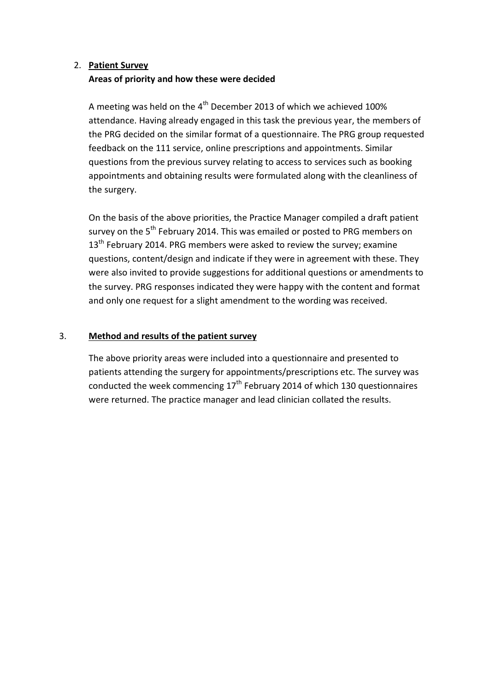# 2. **Patient Survey Areas of priority and how these were decided**

A meeting was held on the  $4<sup>th</sup>$  December 2013 of which we achieved 100% attendance. Having already engaged in this task the previous year, the members of the PRG decided on the similar format of a questionnaire. The PRG group requested feedback on the 111 service, online prescriptions and appointments. Similar questions from the previous survey relating to access to services such as booking appointments and obtaining results were formulated along with the cleanliness of the surgery.

On the basis of the above priorities, the Practice Manager compiled a draft patient survey on the 5<sup>th</sup> February 2014. This was emailed or posted to PRG members on  $13<sup>th</sup>$  February 2014. PRG members were asked to review the survey; examine questions, content/design and indicate if they were in agreement with these. They were also invited to provide suggestions for additional questions or amendments to the survey. PRG responses indicated they were happy with the content and format and only one request for a slight amendment to the wording was received.

# 3. **Method and results of the patient survey**

The above priority areas were included into a questionnaire and presented to patients attending the surgery for appointments/prescriptions etc. The survey was conducted the week commencing  $17<sup>th</sup>$  February 2014 of which 130 questionnaires were returned. The practice manager and lead clinician collated the results.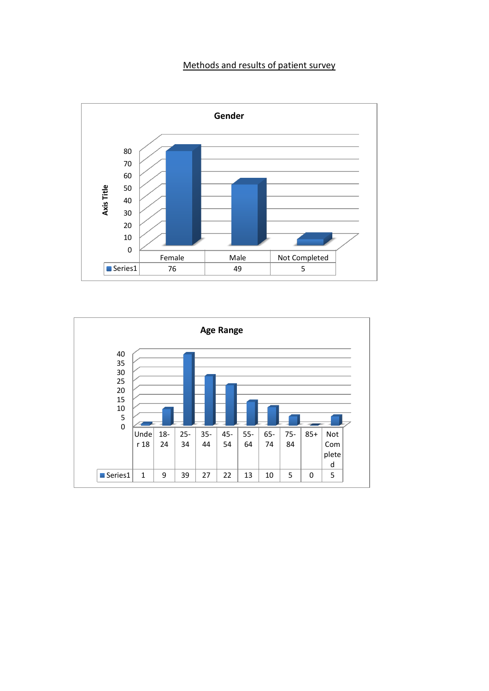# Methods and results of patient survey



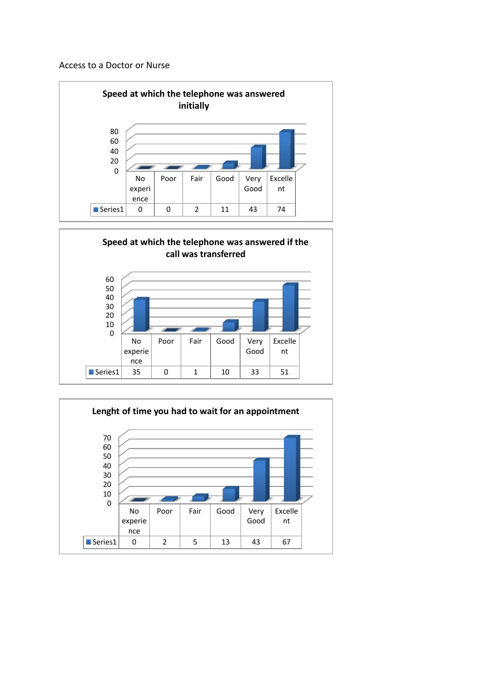#### Access to a Doctor or Nurse





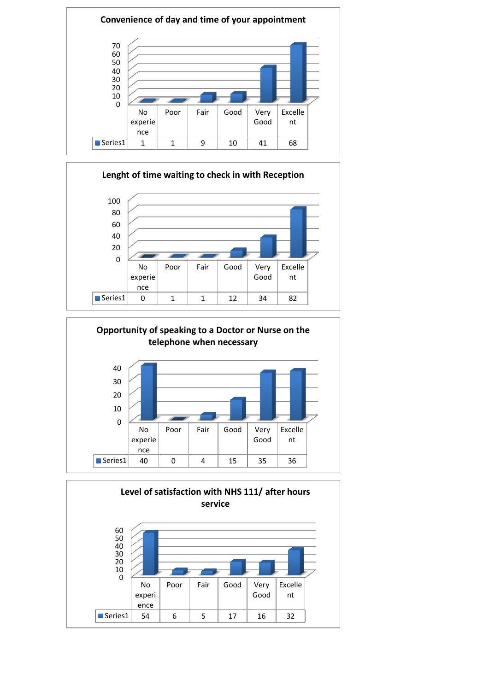





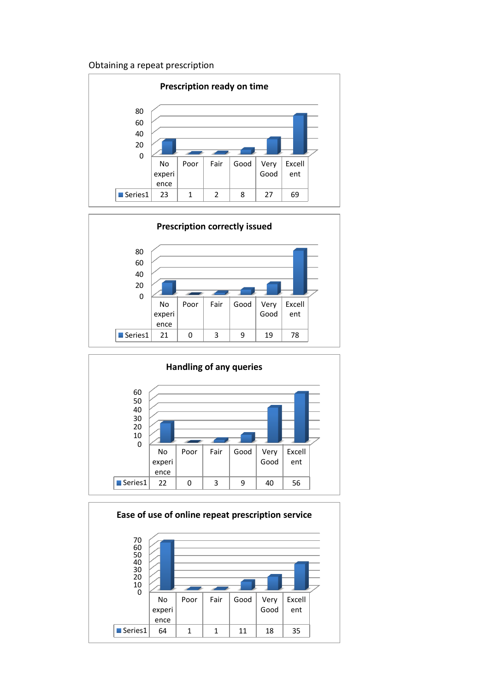# Obtaining a repeat prescription







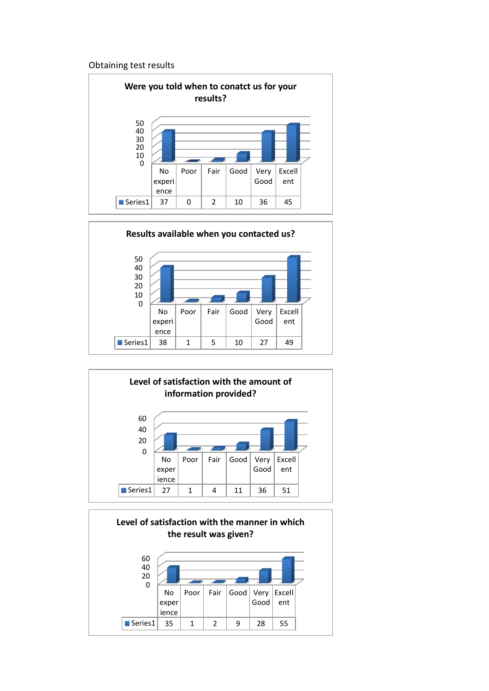#### Obtaining test results







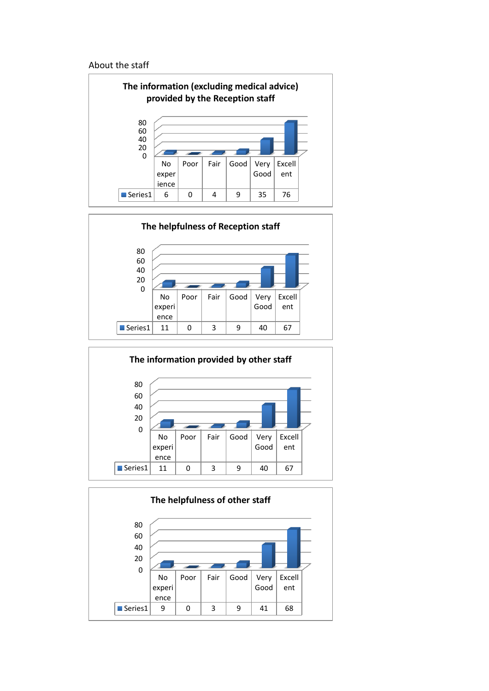#### About the staff







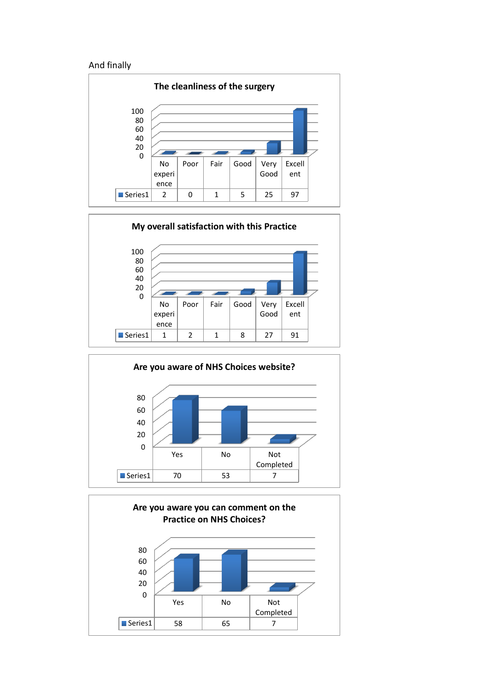#### And finally







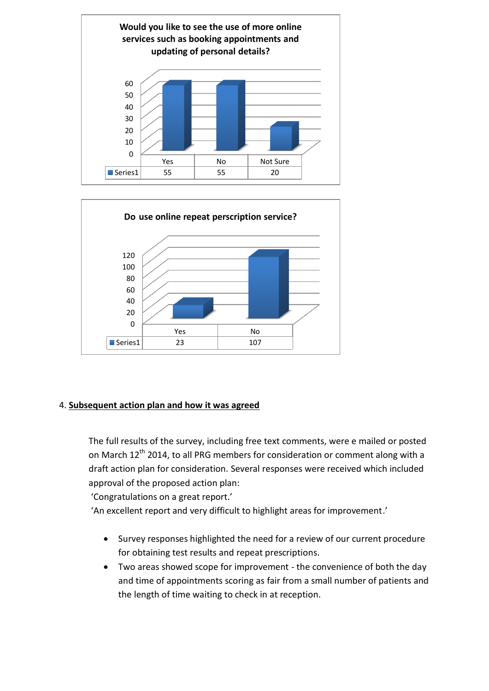



# 4. **Subsequent action plan and how it was agreed**

The full results of the survey, including free text comments, were e mailed or posted on March 12<sup>th</sup> 2014, to all PRG members for consideration or comment along with a draft action plan for consideration. Several responses were received which included approval of the proposed action plan:

'Congratulations on a great report.'

'An excellent report and very difficult to highlight areas for improvement.'

- Survey responses highlighted the need for a review of our current procedure for obtaining test results and repeat prescriptions.
- Two areas showed scope for improvement the convenience of both the day and time of appointments scoring as fair from a small number of patients and the length of time waiting to check in at reception.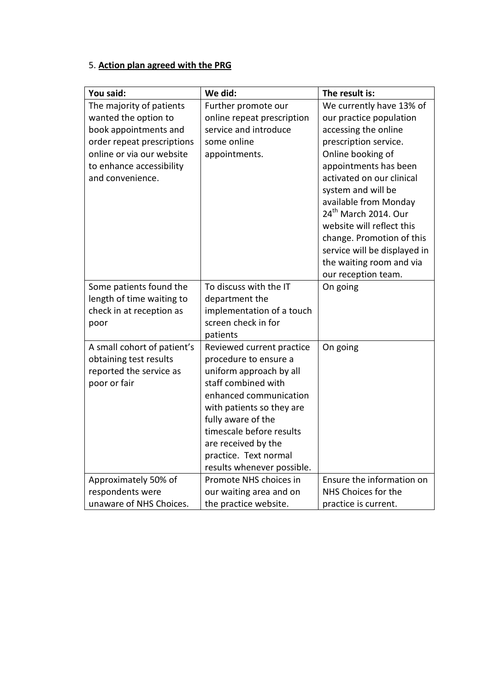# 5. **Action plan agreed with the PRG**

| You said:                                             | We did:                                     | The result is:                   |
|-------------------------------------------------------|---------------------------------------------|----------------------------------|
| The majority of patients                              | Further promote our                         | We currently have 13% of         |
| wanted the option to                                  | online repeat prescription                  | our practice population          |
| book appointments and                                 | service and introduce                       | accessing the online             |
| order repeat prescriptions                            | some online                                 | prescription service.            |
| online or via our website                             | appointments.                               | Online booking of                |
| to enhance accessibility                              |                                             | appointments has been            |
| and convenience.                                      |                                             | activated on our clinical        |
|                                                       |                                             | system and will be               |
|                                                       |                                             | available from Monday            |
|                                                       |                                             | 24 <sup>th</sup> March 2014. Our |
|                                                       |                                             | website will reflect this        |
|                                                       |                                             | change. Promotion of this        |
|                                                       |                                             | service will be displayed in     |
|                                                       |                                             | the waiting room and via         |
|                                                       |                                             | our reception team.              |
| Some patients found the                               | To discuss with the IT                      | On going                         |
| length of time waiting to<br>check in at reception as | department the<br>implementation of a touch |                                  |
|                                                       | screen check in for                         |                                  |
| poor                                                  | patients                                    |                                  |
| A small cohort of patient's                           | Reviewed current practice                   | On going                         |
| obtaining test results                                | procedure to ensure a                       |                                  |
| reported the service as                               | uniform approach by all                     |                                  |
| poor or fair                                          | staff combined with                         |                                  |
|                                                       | enhanced communication                      |                                  |
|                                                       | with patients so they are                   |                                  |
|                                                       | fully aware of the                          |                                  |
|                                                       | timescale before results                    |                                  |
|                                                       | are received by the                         |                                  |
|                                                       | practice. Text normal                       |                                  |
|                                                       | results whenever possible.                  |                                  |
| Approximately 50% of                                  | Promote NHS choices in                      | Ensure the information on        |
| respondents were                                      | our waiting area and on                     | NHS Choices for the              |
| unaware of NHS Choices.                               | the practice website.                       | practice is current.             |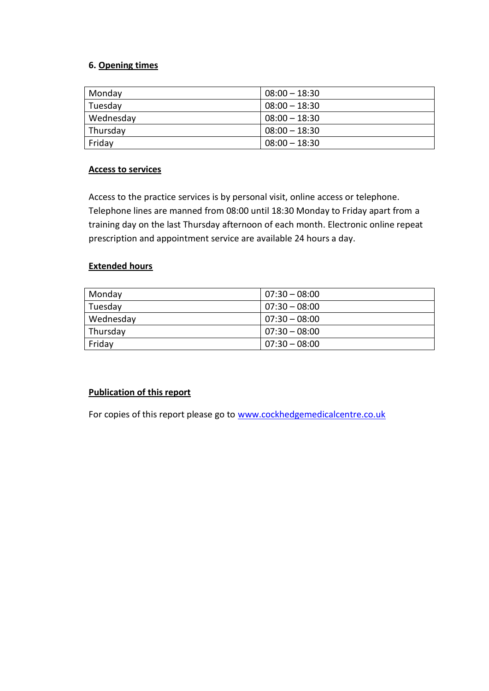## **6. Opening times**

| Monday    | $08:00 - 18:30$ |
|-----------|-----------------|
| Tuesday   | $08:00 - 18:30$ |
| Wednesday | $08:00 - 18:30$ |
| Thursday  | $08:00 - 18:30$ |
| Friday    | $08:00 - 18:30$ |

### **Access to services**

Access to the practice services is by personal visit, online access or telephone. Telephone lines are manned from 08:00 until 18:30 Monday to Friday apart from a training day on the last Thursday afternoon of each month. Electronic online repeat prescription and appointment service are available 24 hours a day.

### **Extended hours**

| Monday    | $07:30 - 08:00$ |
|-----------|-----------------|
| Tuesday   | $07:30 - 08:00$ |
| Wednesday | $07:30 - 08:00$ |
| Thursday  | $07:30 - 08:00$ |
| Friday    | $07:30 - 08:00$ |

### **Publication of this report**

For copies of this report please go to [www.cockhedgemedicalcentre.co.uk](http://www.cockhedgemedicalcentre.co.uk/)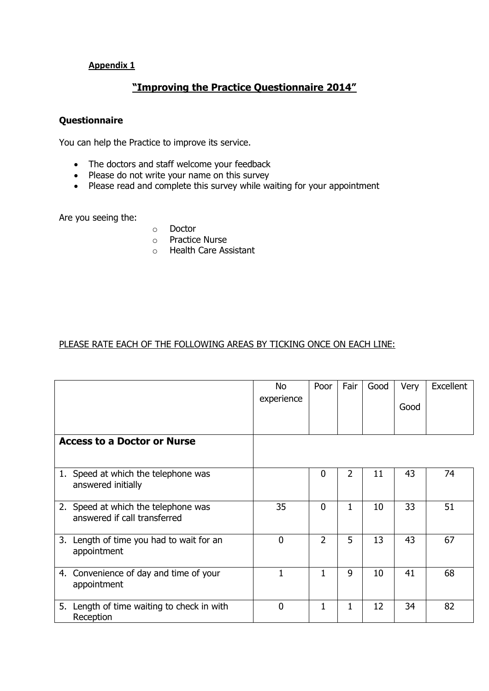# **Appendix 1**

# **"Improving the Practice Questionnaire 2014"**

## **Questionnaire**

You can help the Practice to improve its service.

- The doctors and staff welcome your feedback
- Please do not write your name on this survey
- Please read and complete this survey while waiting for your appointment

Are you seeing the:

- o Doctor
- o Practice Nurse
- o Health Care Assistant

### PLEASE RATE EACH OF THE FOLLOWING AREAS BY TICKING ONCE ON EACH LINE:

|                                                                     | No.<br>experience | Poor           | Fair           | Good | Very<br>Good | Excellent |
|---------------------------------------------------------------------|-------------------|----------------|----------------|------|--------------|-----------|
| <b>Access to a Doctor or Nurse</b>                                  |                   |                |                |      |              |           |
| 1. Speed at which the telephone was<br>answered initially           |                   | $\mathbf 0$    | $\overline{2}$ | 11   | 43           | 74        |
| 2. Speed at which the telephone was<br>answered if call transferred | 35                | $\mathbf 0$    | 1              | 10   | 33           | 51        |
| 3. Length of time you had to wait for an<br>appointment             | $\mathbf 0$       | $\overline{2}$ | 5              | 13   | 43           | 67        |
| 4. Convenience of day and time of your<br>appointment               | 1                 | 1              | 9              | 10   | 41           | 68        |
| 5. Length of time waiting to check in with<br>Reception             | $\overline{0}$    | 1              | 1              | 12   | 34           | 82        |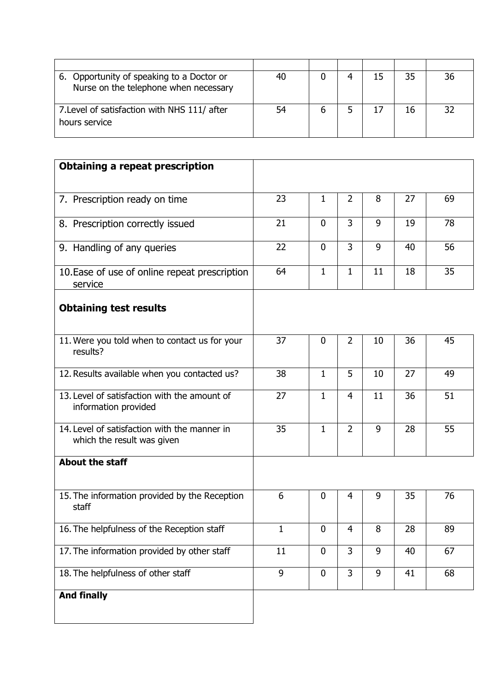| 6. Opportunity of speaking to a Doctor or<br>Nurse on the telephone when necessary | 40 |  | 35 | 36 |
|------------------------------------------------------------------------------------|----|--|----|----|
| 7. Level of satisfaction with NHS 111/ after<br>hours service                      | 54 |  | 16 | 32 |

| <b>Obtaining a repeat prescription</b>                                     |    |              |                |    |    |    |
|----------------------------------------------------------------------------|----|--------------|----------------|----|----|----|
|                                                                            |    |              |                |    |    |    |
| 7. Prescription ready on time                                              | 23 | $\mathbf{1}$ | $\overline{2}$ | 8  | 27 | 69 |
| 8. Prescription correctly issued                                           | 21 | $\mathbf 0$  | 3              | 9  | 19 | 78 |
| 9. Handling of any queries                                                 | 22 | $\mathbf 0$  | 3              | 9  | 40 | 56 |
| 10. Ease of use of online repeat prescription<br>service                   | 64 | 1            | $\mathbf{1}$   | 11 | 18 | 35 |
| <b>Obtaining test results</b>                                              |    |              |                |    |    |    |
| 11. Were you told when to contact us for your<br>results?                  | 37 | $\mathbf 0$  | $\overline{2}$ | 10 | 36 | 45 |
| 12. Results available when you contacted us?                               | 38 | 1            | 5              | 10 | 27 | 49 |
| 13. Level of satisfaction with the amount of<br>information provided       | 27 | $\mathbf{1}$ | $\overline{4}$ | 11 | 36 | 51 |
| 14. Level of satisfaction with the manner in<br>which the result was given | 35 | 1            | $\overline{2}$ | 9  | 28 | 55 |
| <b>About the staff</b>                                                     |    |              |                |    |    |    |
| 15. The information provided by the Reception<br>staff                     | 6  | $\mathbf 0$  | 4              | 9  | 35 | 76 |
| 16. The helpfulness of the Reception staff                                 | 1  | $\mathbf 0$  | 4              | 8  | 28 | 89 |
| 17. The information provided by other staff                                | 11 | $\mathbf 0$  | $\overline{3}$ | 9  | 40 | 67 |
| 18. The helpfulness of other staff                                         | 9  | $\mathbf 0$  | 3              | 9  | 41 | 68 |
| <b>And finally</b>                                                         |    |              |                |    |    |    |
|                                                                            |    |              |                |    |    |    |